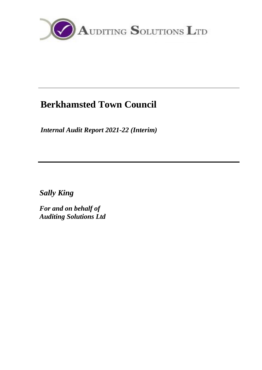

# **Berkhamsted Town Council**

*Internal Audit Report 2021-22 (Interim)*

*Sally King*

*For and on behalf of Auditing Solutions Ltd*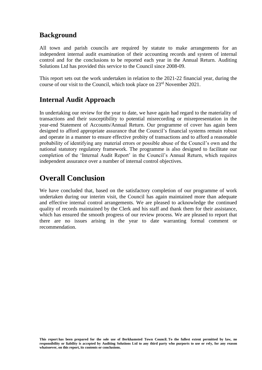### **Background**

All town and parish councils are required by statute to make arrangements for an independent internal audit examination of their accounting records and system of internal control and for the conclusions to be reported each year in the Annual Return. Auditing Solutions Ltd has provided this service to the Council since 2008-09.

This report sets out the work undertaken in relation to the 2021-22 financial year, during the course of our visit to the Council, which took place on 23<sup>rd</sup> November 2021.

### **Internal Audit Approach**

In undertaking our review for the year to date, we have again had regard to the materiality of transactions and their susceptibility to potential misrecording or misrepresentation in the year-end Statement of Accounts/Annual Return. Our programme of cover has again been designed to afford appropriate assurance that the Council's financial systems remain robust and operate in a manner to ensure effective probity of transactions and to afford a reasonable probability of identifying any material errors or possible abuse of the Council's own and the national statutory regulatory framework. The programme is also designed to facilitate our completion of the 'Internal Audit Report' in the Council's Annual Return, which requires independent assurance over a number of internal control objectives.

## **Overall Conclusion**

We have concluded that, based on the satisfactory completion of our programme of work undertaken during our interim visit, the Council has again maintained more than adequate and effective internal control arrangements. We are pleased to acknowledge the continued quality of records maintained by the Clerk and his staff and thank them for their assistance, which has ensured the smooth progress of our review process. We are pleased to report that there are no issues arising in the year to date warranting formal comment or recommendation.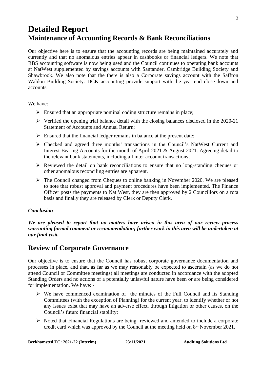# **Detailed Report Maintenance of Accounting Records & Bank Reconciliations**

Our objective here is to ensure that the accounting records are being maintained accurately and currently and that no anomalous entries appear in cashbooks or financial ledgers. We note that RBS accounting software is now being used and the Council continues to operating bank accounts at NatWest supplemented by savings accounts with Santander, Cambridge Building Society and Shawbrook. We also note that the there is also a Corporate savings account with the Saffron Waldon Building Society. DCK accounting provide support with the year-end close-down and accounts.

We have:

- $\triangleright$  Ensured that an appropriate nominal coding structure remains in place;
- ➢ Verified the opening trial balance detail with the closing balances disclosed in the 2020-21 Statement of Accounts and Annual Return;
- $\triangleright$  Ensured that the financial ledger remains in balance at the present date;
- ➢ Checked and agreed three months' transactions in the Council's NatWest Current and Interest Bearing Accounts for the month of April 2021 & August 2021. Agreeing detail to the relevant bank statements, including all inter account transactions;
- ➢ Reviewed the detail on bank reconciliations to ensure that no long-standing cheques or other anomalous reconciling entries are apparent.
- ➢ The Council changed from Cheques to online banking in November 2020. We are pleased to note that robust approval and payment procedures have been implemented. The Finance Officer posts the payments to Nat West, they are then approved by 2 Councillors on a rota basis and finally they are released by Clerk or Deputy Clerk.

#### *Conclusion*

*We are pleased to report that no matters have arisen in this area of our review process warranting formal comment or recommendation; further work in this area will be undertaken at our final visit.*

### **Review of Corporate Governance**

Our objective is to ensure that the Council has robust corporate governance documentation and processes in place, and that, as far as we may reasonably be expected to ascertain (as we do not attend Council or Committee meetings) all meetings are conducted in accordance with the adopted Standing Orders and no actions of a potentially unlawful nature have been or are being considered for implementation. We have: -

- ➢ We have commenced examination of the minutes of the Full Council and its Standing Committees (with the exception of Planning) for the current year. to identify whether or not any issues exist that may have an adverse effect, through litigation or other causes, on the Council's future financial stability;
- ➢ Noted that Financial Regulations are being reviewed and amended to include a corporate credit card which was approved by the Council at the meeting held on  $8<sup>th</sup>$  November 2021.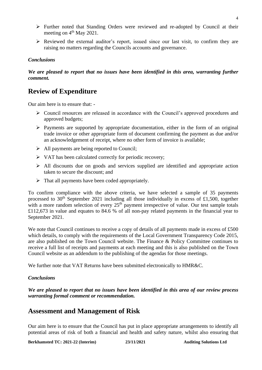- ➢ Further noted that Standing Orders were reviewed and re-adopted by Council at their meeting on  $4<sup>th</sup>$  May 2021.
- ➢ Reviewed the external auditor's report, issued since our last visit, to confirm they are raising no matters regarding the Councils accounts and governance.

#### *Conclusions*

*We are pleased to report that no issues have been identified in this area, warranting further comment.* 

### **Review of Expenditure**

Our aim here is to ensure that: -

- ➢ Council resources are released in accordance with the Council's approved procedures and approved budgets;
- $\triangleright$  Payments are supported by appropriate documentation, either in the form of an original trade invoice or other appropriate form of document confirming the payment as due and/or an acknowledgement of receipt, where no other form of invoice is available;
- ➢ All payments are being reported to Council;
- ➢ VAT has been calculated correctly for periodic recovery;
- ➢ All discounts due on goods and services supplied are identified and appropriate action taken to secure the discount; and
- $\triangleright$  That all payments have been coded appropriately.

To confirm compliance with the above criteria, we have selected a sample of 35 payments processed to 30<sup>th</sup> September 2021 including all those individually in excess of £1,500, together with a more random selection of every  $25<sup>th</sup>$  payment irrespective of value. Our test sample totals £112,673 in value and equates to 84.6 % of all non-pay related payments in the financial year to September 2021.

We note that Council continues to receive a copy of details of all payments made in excess of £500 which details, to comply with the requirements of the Local Government Transparency Code 2015, are also published on the Town Council website. The Finance & Policy Committee continues to receive a full list of receipts and payments at each meeting and this is also published on the Town Council website as an addendum to the publishing of the agendas for those meetings.

We further note that VAT Returns have been submitted electronically to HMR&C.

#### *Conclusions*

*We are pleased to report that no issues have been identified in this area of our review process warranting formal comment or recommendation.*

#### **Assessment and Management of Risk**

Our aim here is to ensure that the Council has put in place appropriate arrangements to identify all potential areas of risk of both a financial and health and safety nature, whilst also ensuring that

**Berkhamsted TC: 2021-22 (Interim) 23/11/2021 Auditing Solutions Ltd**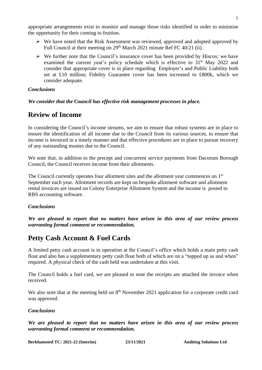appropriate arrangements exist to monitor and manage those risks identified in order to minimise the opportunity for their coming to fruition.

- $\triangleright$  We have noted that the Risk Assessment was reviewed, approved and adopted approved by Full Council at their meeting on 29<sup>th</sup> March 2021 minute Ref FC 40/21 (ii).
- $\triangleright$  We further note that the Council's insurance cover has been provided by Hiscox: we have examined the current year's policy schedule which is effective to  $31<sup>st</sup>$  May 2022 and consider that appropriate cover is in place regarding Employer's and Public Liability both set at £10 million; Fidelity Guarantee cover has been increased to £800k, which we consider adequate.

#### *Conclusions*

*We consider that the Council has effective risk management processes in place.*

### **Review of Income**

In considering the Council's income streams, we aim to ensure that robust systems are in place to ensure the identification of all income due to the Council from its various sources, to ensure that income is invoiced in a timely manner and that effective procedures are in place to pursue recovery of any outstanding monies due to the Council.

We note that, in addition to the precept and concurrent service payments from Dacorum Borough Council, the Council receives income from their allotments.

The Council currently operates four allotment sites and the allotment year commences on 1<sup>st</sup> September each year. Allotment records are kept on bespoke allotment software and allotment rental invoices are issued on Colony Enterprise Allotment System and the income is posted to RBS accounting software.

#### *Conclusions*

*We are pleased to report that no matters have arisen in this area of our review process warranting formal comment or recommendation.*

### **Petty Cash Account & Fuel Cards**

A limited petty cash account is in operation at the Council's office which holds a main petty cash float and also has a supplementary petty cash float both of which are on a "topped up as and when" required. A physical check of the cash held was undertaken at this visit.

The Council holds a fuel card, we are pleased to note the receipts are attached the invoice when received.

We also note that at the meeting held on  $8<sup>th</sup>$  November 2021 application for a corporate credit card was approved.

#### *Conclusions*

*We are pleased to report that no matters have arisen in this area of our review process warranting formal comment or recommendation.*

**Berkhamsted TC: 2021-22 (Interim) 23/11/2021 Auditing Solutions Ltd**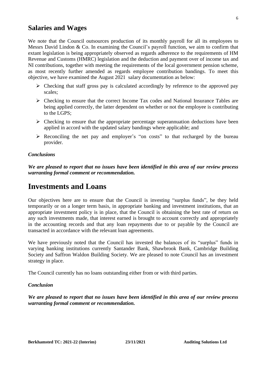### **Salaries and Wages**

We note that the Council outsources production of its monthly payroll for all its employees to Messrs David Lindon & Co. In examining the Council's payroll function, we aim to confirm that extant legislation is being appropriately observed as regards adherence to the requirements of HM Revenue and Customs (HMRC) legislation and the deduction and payment over of income tax and NI contributions, together with meeting the requirements of the local government pension scheme, as most recently further amended as regards employee contribution bandings. To meet this objective, we have examined the August 2021 salary documentation as below:

- ➢ Checking that staff gross pay is calculated accordingly by reference to the approved pay scales;
- ➢ Checking to ensure that the correct Income Tax codes and National Insurance Tables are being applied correctly, the latter dependent on whether or not the employee is contributing to the LGPS;
- $\triangleright$  Checking to ensure that the appropriate percentage superannuation deductions have been applied in accord with the updated salary bandings where applicable; and
- ➢ Reconciling the net pay and employer's "on costs" to that recharged by the bureau provider.

#### *Conclusions*

*We are pleased to report that no issues have been identified in this area of our review process warranting formal comment or recommendation.*

### **Investments and Loans**

Our objectives here are to ensure that the Council is investing "surplus funds", be they held temporarily or on a longer term basis, in appropriate banking and investment institutions, that an appropriate investment policy is in place, that the Council is obtaining the best rate of return on any such investments made, that interest earned is brought to account correctly and appropriately in the accounting records and that any loan repayments due to or payable by the Council are transacted in accordance with the relevant loan agreements.

We have previously noted that the Council has invested the balances of its "surplus" funds in varying banking institutions currently Santander Bank, Shawbrook Bank, Cambridge Building Society and Saffron Waldon Building Society. We are pleased to note Council has an investment strategy in place.

The Council currently has no loans outstanding either from or with third parties.

#### *Conclusion*

*We are pleased to report that no issues have been identified in this area of our review process warranting formal comment or recommendation.*